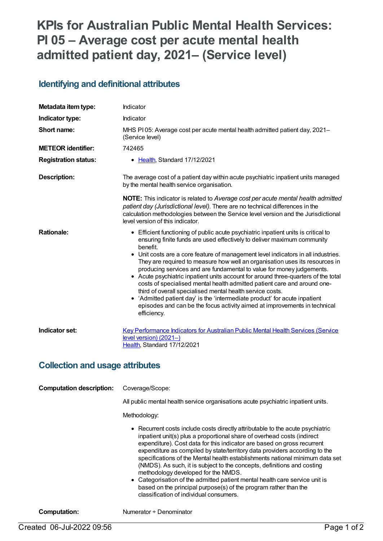# **KPIs for Australian Public Mental Health Services: PI 05 – Average cost per acute mental health admitted patient day, 2021– (Service level)**

### **Identifying and definitional attributes**

| Metadata item type:         | Indicator                                                                                                                                                                                                                                                                                                                                                                                                                                                                                                                                                                                                                                                                                                                                                                                                                       |
|-----------------------------|---------------------------------------------------------------------------------------------------------------------------------------------------------------------------------------------------------------------------------------------------------------------------------------------------------------------------------------------------------------------------------------------------------------------------------------------------------------------------------------------------------------------------------------------------------------------------------------------------------------------------------------------------------------------------------------------------------------------------------------------------------------------------------------------------------------------------------|
| Indicator type:             | Indicator                                                                                                                                                                                                                                                                                                                                                                                                                                                                                                                                                                                                                                                                                                                                                                                                                       |
| Short name:                 | MHS PI 05: Average cost per acute mental health admitted patient day, 2021-<br>(Service level)                                                                                                                                                                                                                                                                                                                                                                                                                                                                                                                                                                                                                                                                                                                                  |
| <b>METEOR identifier:</b>   | 742465                                                                                                                                                                                                                                                                                                                                                                                                                                                                                                                                                                                                                                                                                                                                                                                                                          |
| <b>Registration status:</b> | • Health, Standard 17/12/2021                                                                                                                                                                                                                                                                                                                                                                                                                                                                                                                                                                                                                                                                                                                                                                                                   |
| Description:                | The average cost of a patient day within acute psychiatric inpatient units managed<br>by the mental health service organisation.                                                                                                                                                                                                                                                                                                                                                                                                                                                                                                                                                                                                                                                                                                |
|                             | <b>NOTE:</b> This indicator is related to Average cost per acute mental health admitted<br>patient day (Jurisdictional level). There are no technical differences in the<br>calculation methodologies between the Service level version and the Jurisdictional<br>level version of this indicator.                                                                                                                                                                                                                                                                                                                                                                                                                                                                                                                              |
| <b>Rationale:</b>           | • Efficient functioning of public acute psychiatric inpatient units is critical to<br>ensuring finite funds are used effectively to deliver maximum community<br>benefit.<br>• Unit costs are a core feature of management level indicators in all industries.<br>They are required to measure how well an organisation uses its resources in<br>producing services and are fundamental to value for money judgements.<br>• Acute psychiatric inpatient units account for around three-quarters of the total<br>costs of specialised mental health admitted patient care and around one-<br>third of overall specialised mental health service costs.<br>• 'Admitted patient day' is the 'intermediate product' for acute inpatient<br>episodes and can be the focus activity aimed at improvements in technical<br>efficiency. |
| Indicator set:              | <b>Key Performance Indicators for Australian Public Mental Health Services (Service</b><br>level version) (2021-)<br>Health, Standard 17/12/2021                                                                                                                                                                                                                                                                                                                                                                                                                                                                                                                                                                                                                                                                                |

#### **Collection and usage attributes**

| <b>Computation description:</b> | Coverage/Scope:<br>All public mental health service organisations acute psychiatric inpatient units.<br>Methodology:                                                                                                                                                                                                                                                                                                                                                                                                                                                                                                                                                                                               |
|---------------------------------|--------------------------------------------------------------------------------------------------------------------------------------------------------------------------------------------------------------------------------------------------------------------------------------------------------------------------------------------------------------------------------------------------------------------------------------------------------------------------------------------------------------------------------------------------------------------------------------------------------------------------------------------------------------------------------------------------------------------|
|                                 | • Recurrent costs include costs directly attributable to the acute psychiatric<br>inpatient unit(s) plus a proportional share of overhead costs (indirect<br>expenditure). Cost data for this indicator are based on gross recurrent<br>expenditure as compiled by state/territory data providers according to the<br>specifications of the Mental health establishments national minimum data set<br>(NMDS). As such, it is subject to the concepts, definitions and costing<br>methodology developed for the NMDS.<br>• Categorisation of the admitted patient mental health care service unit is<br>based on the principal purpose(s) of the program rather than the<br>classification of individual consumers. |

**Computation:** Numerator ÷ Denominator